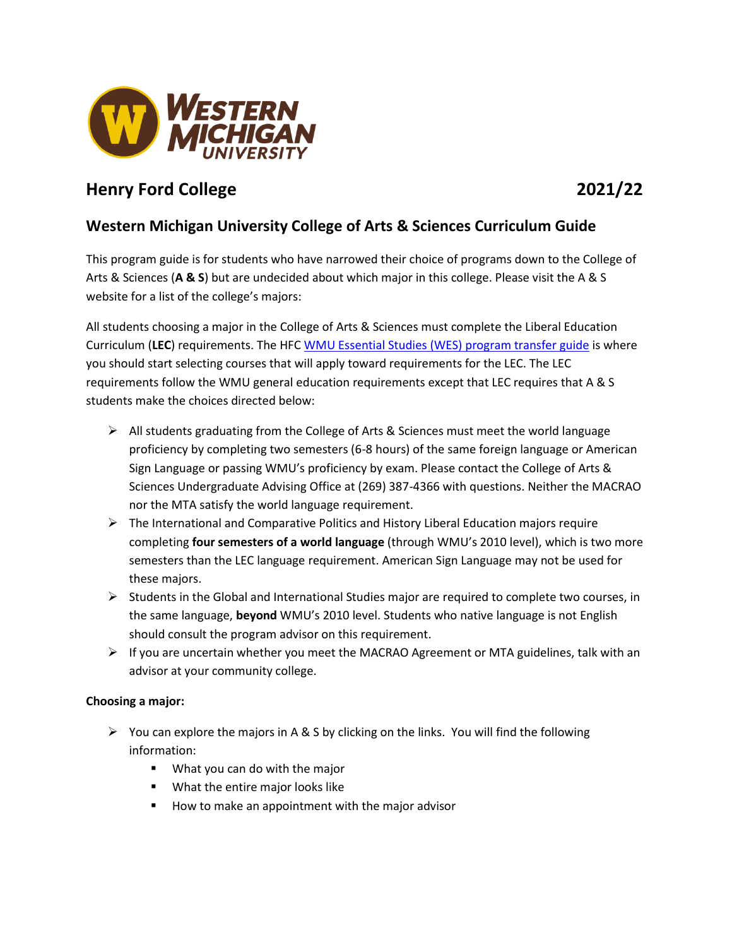

# **Henry Ford College 2021/22**

# **Western Michigan University College of Arts & Sciences Curriculum Guide**

This program guide is for students who have narrowed their choice of programs down to the College of Arts & Sciences (**A & S**) but are undecided about which major in this college. Please visit the A & S website for a list of the college's majors:

All students choosing a major in the College of Arts & Sciences must complete the Liberal Education Curriculum (**LEC**) requirements. The HFC [WMU Essential Studies \(WES\)](http://www.wmich.edu/admissions/transfer/guides/HFC) program transfer guide is where you should start selecting courses that will apply toward requirements for the LEC. The LEC requirements follow the WMU general education requirements except that LEC requires that A & S students make the choices directed below:

- $\triangleright$  All students graduating from the College of Arts & Sciences must meet the world language proficiency by completing two semesters (6-8 hours) of the same foreign language or American Sign Language or passing WMU's proficiency by exam. Please contact the College of Arts & Sciences Undergraduate Advising Office at (269) 387-4366 with questions. Neither the MACRAO nor the MTA satisfy the world language requirement.
- $\triangleright$  The International and Comparative Politics and History Liberal Education majors require completing **four semesters of a world language** (through WMU's 2010 level), which is two more semesters than the LEC language requirement. American Sign Language may not be used for these majors.
- $\triangleright$  Students in the Global and International Studies major are required to complete two courses, in the same language, **beyond** WMU's 2010 level. Students who native language is not English should consult the program advisor on this requirement.
- $\triangleright$  If you are uncertain whether you meet the MACRAO Agreement or MTA guidelines, talk with an advisor at your community college.

# **Choosing a major:**

- $\triangleright$  You can explore the majors in A & S by clicking on the links. You will find the following information:
	- What you can do with the major
	- What the entire major looks like
	- How to make an appointment with the major advisor